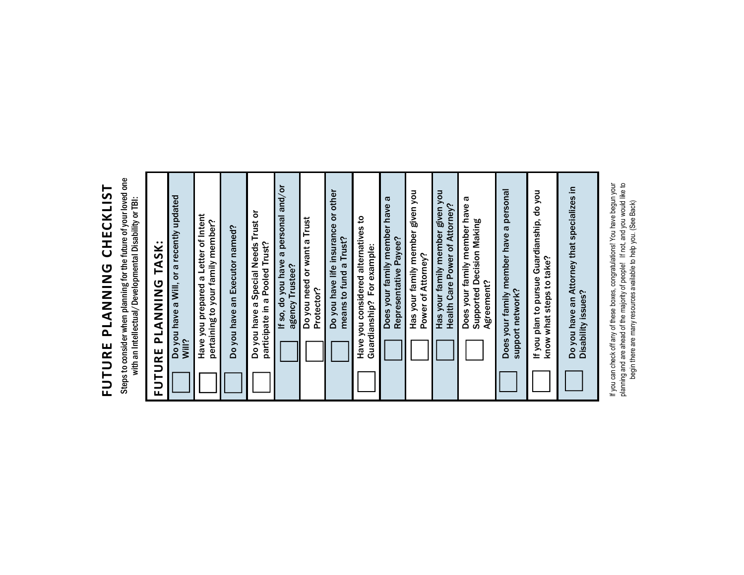## FUTURE PLANNING CHECKLIST FUTURE PLANNING CHECKLIST

Steps to consider when planning for the future of your loved one<br>with an Intellectual/Developmental Disability or TBI: Steps to consider when planning for the future of your loved one with an Intellectual/Developmental Disability or TBI:

| <b>PLANING TASK:</b><br><b>FUTURE</b>                                     |
|---------------------------------------------------------------------------|
| Do you have a Will, or a recently updated<br>Will?                        |
| Have you prepared a Letter of Intent<br>pertaining to your family member? |
| Do you have an Executor named?                                            |
| Do you have a Special Needs Trust or<br>participate in a Pooled Trust?    |
| If so, do you have a personal and/or<br>agency Trustee?                   |
| Do you need or want a Trust<br>Protector?                                 |
| Do you have life insurance or other<br>means to fund a Trust?             |
| Have you considered alternatives to<br>Guardianship? For example:         |
| Does your family member have a<br>Representative Payee?                   |
| Has your family member given you<br>Power of Attorney?                    |
| Has your family member given you<br>Health Care Power of Attorney?        |
| Does your family member have a<br>Supported Decision Making<br>Agreement? |
| Does your family member have a personal<br>support network?               |
| If you plan to pursue Guardianship, do you<br>know what steps to take?    |
| Do you have an Attorney that specializes in<br>Disability issues?         |

If you can check off any of these boxes, congratulations! You have begun your<br>planning and are ahead of the majority of people! If not, and you would like to<br>begin there are many resources available to help you. (See Back) If you can check off any of these boxes, congratulations! You have begun your planning and are ahead of the majority of people! If not, and you would like to begin there are many resources available to help you. (See Back)

Disability issues?